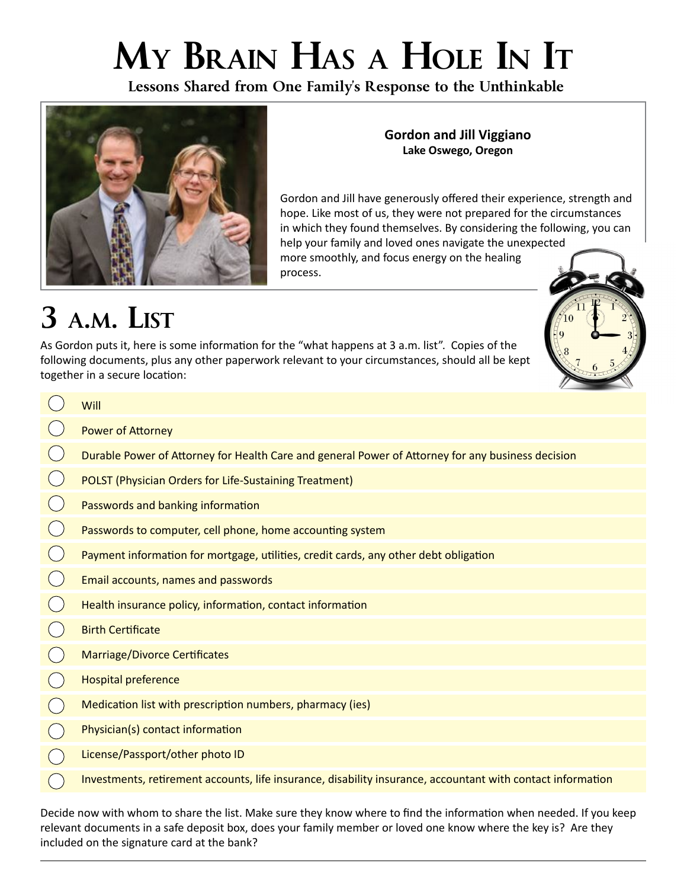# **My Brain Has a Hole In It**

**Lessons Shared from One Family's Response to the Unthinkable**



#### **Gordon and Jill Viggiano Lake Oswego, Oregon**

Gordon and Jill have generously offered their experience, strength and hope. Like most of us, they were not prepared for the circumstances in which they found themselves. By considering the following, you can help your family and loved ones navigate the unexpected more smoothly, and focus energy on the healing process.

## **3 a.m. List**

As Gordon puts it, here is some information for the "what happens at 3 a.m. list". Copies of the following documents, plus any other paperwork relevant to your circumstances, should all be kept together in a secure location:

| Will                                                                                                        |
|-------------------------------------------------------------------------------------------------------------|
| <b>Power of Attorney</b>                                                                                    |
| Durable Power of Attorney for Health Care and general Power of Attorney for any business decision           |
| <b>POLST (Physician Orders for Life-Sustaining Treatment)</b>                                               |
| Passwords and banking information                                                                           |
| Passwords to computer, cell phone, home accounting system                                                   |
| Payment information for mortgage, utilities, credit cards, any other debt obligation                        |
| Email accounts, names and passwords                                                                         |
| Health insurance policy, information, contact information                                                   |
| <b>Birth Certificate</b>                                                                                    |
| <b>Marriage/Divorce Certificates</b>                                                                        |
| <b>Hospital preference</b>                                                                                  |
| Medication list with prescription numbers, pharmacy (ies)                                                   |
| Physician(s) contact information                                                                            |
| License/Passport/other photo ID                                                                             |
| Investments, retirement accounts, life insurance, disability insurance, accountant with contact information |

Decide now with whom to share the list. Make sure they know where to find the information when needed. If you keep relevant documents in a safe deposit box, does your family member or loved one know where the key is? Are they included on the signature card at the bank?